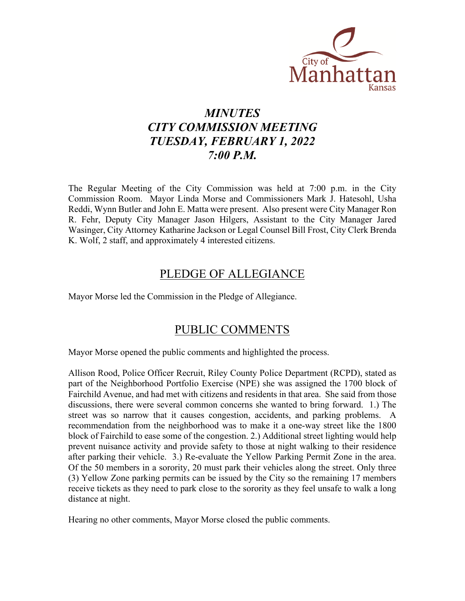

# *MINUTES CITY COMMISSION MEETING TUESDAY, FEBRUARY 1, 2022 7:00 P.M.*

The Regular Meeting of the City Commission was held at 7:00 p.m. in the City Commission Room. Mayor Linda Morse and Commissioners Mark J. Hatesohl, Usha Reddi, Wynn Butler and John E. Matta were present. Also present were City Manager Ron R. Fehr, Deputy City Manager Jason Hilgers, Assistant to the City Manager Jared Wasinger, City Attorney Katharine Jackson or Legal Counsel Bill Frost, City Clerk Brenda K. Wolf, 2 staff, and approximately 4 interested citizens.

## PLEDGE OF ALLEGIANCE

Mayor Morse led the Commission in the Pledge of Allegiance.

## PUBLIC COMMENTS

Mayor Morse opened the public comments and highlighted the process.

Allison Rood, Police Officer Recruit, Riley County Police Department (RCPD), stated as part of the Neighborhood Portfolio Exercise (NPE) she was assigned the 1700 block of Fairchild Avenue, and had met with citizens and residents in that area. She said from those discussions, there were several common concerns she wanted to bring forward. 1.) The street was so narrow that it causes congestion, accidents, and parking problems. A recommendation from the neighborhood was to make it a one-way street like the 1800 block of Fairchild to ease some of the congestion. 2.) Additional street lighting would help prevent nuisance activity and provide safety to those at night walking to their residence after parking their vehicle. 3.) Re-evaluate the Yellow Parking Permit Zone in the area. Of the 50 members in a sorority, 20 must park their vehicles along the street. Only three (3) Yellow Zone parking permits can be issued by the City so the remaining 17 members receive tickets as they need to park close to the sorority as they feel unsafe to walk a long distance at night.

Hearing no other comments, Mayor Morse closed the public comments.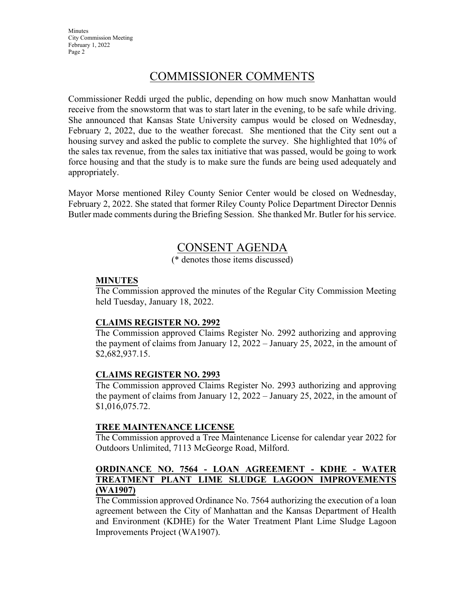**Minutes** City Commission Meeting February 1, 2022 Page 2

## COMMISSIONER COMMENTS

Commissioner Reddi urged the public, depending on how much snow Manhattan would receive from the snowstorm that was to start later in the evening, to be safe while driving. She announced that Kansas State University campus would be closed on Wednesday, February 2, 2022, due to the weather forecast. She mentioned that the City sent out a housing survey and asked the public to complete the survey. She highlighted that 10% of the sales tax revenue, from the sales tax initiative that was passed, would be going to work force housing and that the study is to make sure the funds are being used adequately and appropriately.

Mayor Morse mentioned Riley County Senior Center would be closed on Wednesday, February 2, 2022. She stated that former Riley County Police Department Director Dennis Butler made comments during the Briefing Session. She thanked Mr. Butler for his service.

## CONSENT AGENDA

(\* denotes those items discussed)

### **MINUTES**

The Commission approved the minutes of the Regular City Commission Meeting held Tuesday, January 18, 2022.

### **CLAIMS REGISTER NO. 2992**

The Commission approved Claims Register No. 2992 authorizing and approving the payment of claims from January 12, 2022 – January 25, 2022, in the amount of \$2,682,937.15.

### **CLAIMS REGISTER NO. 2993**

The Commission approved Claims Register No. 2993 authorizing and approving the payment of claims from January 12, 2022 – January 25, 2022, in the amount of \$1,016,075.72.

### **TREE MAINTENANCE LICENSE**

The Commission approved a Tree Maintenance License for calendar year 2022 for Outdoors Unlimited, 7113 McGeorge Road, Milford.

## **ORDINANCE NO. 7564 - LOAN AGREEMENT - KDHE - WATER TREATMENT PLANT LIME SLUDGE LAGOON IMPROVEMENTS (WA1907)**

The Commission approved Ordinance No. 7564 authorizing the execution of a loan agreement between the City of Manhattan and the Kansas Department of Health and Environment (KDHE) for the Water Treatment Plant Lime Sludge Lagoon Improvements Project (WA1907).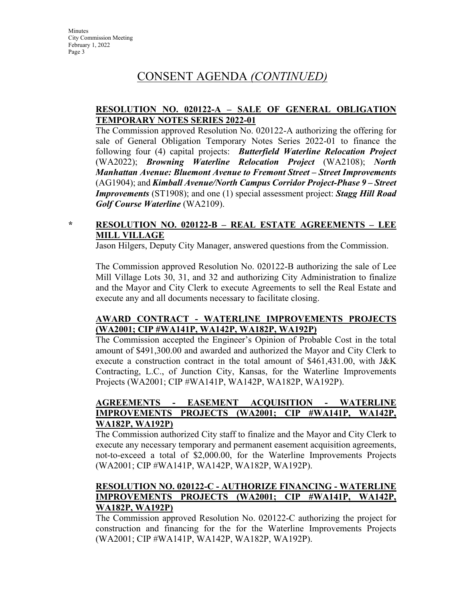## CONSENT AGENDA *(CONTINUED)*

### **RESOLUTION NO. 020122-A – SALE OF GENERAL OBLIGATION TEMPORARY NOTES SERIES 2022-01**

The Commission approved Resolution No. 020122-A authorizing the offering for sale of General Obligation Temporary Notes Series 2022-01 to finance the following four (4) capital projects: *Butterfield Waterline Relocation Project* (WA2022); *Browning Waterline Relocation Project* (WA2108); *North Manhattan Avenue: Bluemont Avenue to Fremont Street – Street Improvements*  (AG1904); and *Kimball Avenue/North Campus Corridor Project-Phase 9 – Street Improvements* (ST1908); and one (1) special assessment project: *Stagg Hill Road Golf Course Waterline* (WA2109).

## **\* RESOLUTION NO. 020122-B – REAL ESTATE AGREEMENTS – LEE MILL VILLAGE**

Jason Hilgers, Deputy City Manager, answered questions from the Commission.

The Commission approved Resolution No. 020122-B authorizing the sale of Lee Mill Village Lots 30, 31, and 32 and authorizing City Administration to finalize and the Mayor and City Clerk to execute Agreements to sell the Real Estate and execute any and all documents necessary to facilitate closing.

### **AWARD CONTRACT - WATERLINE IMPROVEMENTS PROJECTS (WA2001; CIP #WA141P, WA142P, WA182P, WA192P)**

The Commission accepted the Engineer's Opinion of Probable Cost in the total amount of \$491,300.00 and awarded and authorized the Mayor and City Clerk to execute a construction contract in the total amount of \$461,431.00, with J&K Contracting, L.C., of Junction City, Kansas, for the Waterline Improvements Projects (WA2001; CIP #WA141P, WA142P, WA182P, WA192P).

#### **AGREEMENTS - EASEMENT ACQUISITION - WATERLINE IMPROVEMENTS PROJECTS (WA2001; CIP #WA141P, WA142P, WA182P, WA192P)**

The Commission authorized City staff to finalize and the Mayor and City Clerk to execute any necessary temporary and permanent easement acquisition agreements, not-to-exceed a total of \$2,000.00, for the Waterline Improvements Projects (WA2001; CIP #WA141P, WA142P, WA182P, WA192P).

## **RESOLUTION NO. 020122-C - AUTHORIZE FINANCING - WATERLINE IMPROVEMENTS PROJECTS (WA2001; CIP #WA141P, WA142P, WA182P, WA192P)**

The Commission approved Resolution No. 020122-C authorizing the project for construction and financing for the for the Waterline Improvements Projects (WA2001; CIP #WA141P, WA142P, WA182P, WA192P).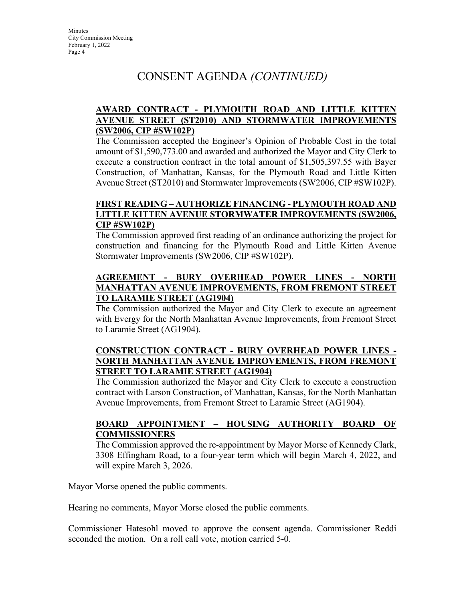# CONSENT AGENDA *(CONTINUED)*

## **AWARD CONTRACT - PLYMOUTH ROAD AND LITTLE KITTEN AVENUE STREET (ST2010) AND STORMWATER IMPROVEMENTS (SW2006, CIP #SW102P)**

The Commission accepted the Engineer's Opinion of Probable Cost in the total amount of \$1,590,773.00 and awarded and authorized the Mayor and City Clerk to execute a construction contract in the total amount of \$1,505,397.55 with Bayer Construction, of Manhattan, Kansas, for the Plymouth Road and Little Kitten Avenue Street (ST2010) and Stormwater Improvements (SW2006, CIP #SW102P).

## **FIRST READING – AUTHORIZE FINANCING - PLYMOUTH ROAD AND LITTLE KITTEN AVENUE STORMWATER IMPROVEMENTS (SW2006, CIP #SW102P)**

The Commission approved first reading of an ordinance authorizing the project for construction and financing for the Plymouth Road and Little Kitten Avenue Stormwater Improvements (SW2006, CIP #SW102P).

## **AGREEMENT - BURY OVERHEAD POWER LINES - NORTH MANHATTAN AVENUE IMPROVEMENTS, FROM FREMONT STREET TO LARAMIE STREET (AG1904)**

The Commission authorized the Mayor and City Clerk to execute an agreement with Evergy for the North Manhattan Avenue Improvements, from Fremont Street to Laramie Street (AG1904).

## **CONSTRUCTION CONTRACT - BURY OVERHEAD POWER LINES - NORTH MANHATTAN AVENUE IMPROVEMENTS, FROM FREMONT STREET TO LARAMIE STREET (AG1904)**

The Commission authorized the Mayor and City Clerk to execute a construction contract with Larson Construction, of Manhattan, Kansas, for the North Manhattan Avenue Improvements, from Fremont Street to Laramie Street (AG1904).

### **BOARD APPOINTMENT – HOUSING AUTHORITY BOARD OF COMMISSIONERS**

The Commission approved the re-appointment by Mayor Morse of Kennedy Clark, 3308 Effingham Road, to a four-year term which will begin March 4, 2022, and will expire March 3, 2026.

Mayor Morse opened the public comments.

Hearing no comments, Mayor Morse closed the public comments.

Commissioner Hatesohl moved to approve the consent agenda. Commissioner Reddi seconded the motion. On a roll call vote, motion carried 5-0.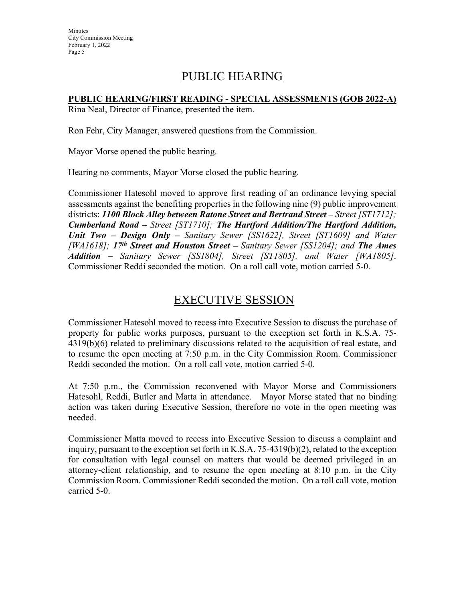## PUBLIC HEARING

## **PUBLIC HEARING/FIRST READING - SPECIAL ASSESSMENTS (GOB 2022-A)**

Rina Neal, Director of Finance, presented the item.

Ron Fehr, City Manager, answered questions from the Commission.

Mayor Morse opened the public hearing.

Hearing no comments, Mayor Morse closed the public hearing.

Commissioner Hatesohl moved to approve first reading of an ordinance levying special assessments against the benefiting properties in the following nine (9) public improvement districts: *1100 Block Alley between Ratone Street and Bertrand Street – Street [ST1712]; Cumberland Road – Street [ST1710]; The Hartford Addition/The Hartford Addition, Unit Two – Design Only – Sanitary Sewer [SS1622], Street [ST1609] and Water [WA1618]; 17th Street and Houston Street – Sanitary Sewer [SS1204]; and The Ames Addition – Sanitary Sewer [SS1804], Street [ST1805], and Water [WA1805]*. Commissioner Reddi seconded the motion. On a roll call vote, motion carried 5-0.

## EXECUTIVE SESSION

Commissioner Hatesohl moved to recess into Executive Session to discuss the purchase of property for public works purposes, pursuant to the exception set forth in K.S.A. 75- 4319(b)(6) related to preliminary discussions related to the acquisition of real estate, and to resume the open meeting at 7:50 p.m. in the City Commission Room. Commissioner Reddi seconded the motion. On a roll call vote, motion carried 5-0.

At 7:50 p.m., the Commission reconvened with Mayor Morse and Commissioners Hatesohl, Reddi, Butler and Matta in attendance. Mayor Morse stated that no binding action was taken during Executive Session, therefore no vote in the open meeting was needed.

Commissioner Matta moved to recess into Executive Session to discuss a complaint and inquiry, pursuant to the exception set forth in K.S.A. 75-4319(b)(2), related to the exception for consultation with legal counsel on matters that would be deemed privileged in an attorney-client relationship, and to resume the open meeting at 8:10 p.m. in the City Commission Room. Commissioner Reddi seconded the motion. On a roll call vote, motion carried 5-0.